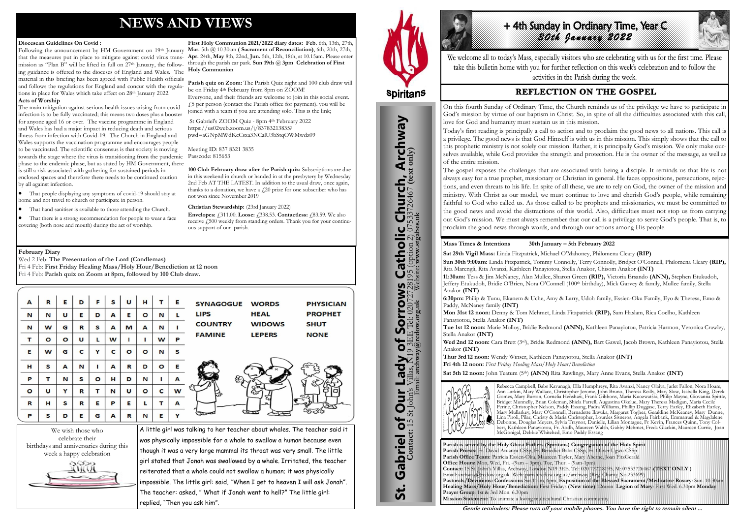# **NEWS AND VIEWS**

#### **Diocesean Guidelines On Covid :**

Following the announcement by HM Government on 19<sup>th</sup> January Mar. 5th @ 10.30am (Sacrament of Reconciliation), 6th, 20th, 27th, that the measures put in place to mitigate against covid virus transmission as "Plan B" will be lifted in full on 27th January, the following guidance is offered to the dioceses of England and Wales. The material in this briefing has been agreed with Public Health officials and follows the regulations for England and concur with the regulations in place for Wales which take effect on 28<sup>th</sup> January 2022.

#### **Acts of Worship**

The main mitigation against serious health issues arising from covid infection is to be fully vaccinated; this means two doses plus a booster for anyone aged 16 or over. The vaccine programme in England and Wales has had a major impact in reducing death and serious illness from infection with Covid-19. The Church in England and Wales supports the vaccination programme and encourages people to be vaccinated. The scientific consensus is that society is moving towards the stage where the virus is transitioning from the pandemic phase to the endemic phase, but as stated by HM Government, there is still a risk associated with gathering for sustained periods in enclosed spaces and therefore there needs to be continued caution by all against infection.

Parish quiz on Zoom: The Parish Quiz night and 100 club draw will be on Friday 4th February from 8pm on ZOOM!

 That people displaying any symptoms of covid-19 should stay at home and not travel to church or participate in person.

> **Envelopes:**  $\angle 311.00$ . **Loose:**  $\angle 338.53$ . **Contactless:**  $\angle 83.59$ . We also receive £500 weekly from standing orders. Thank you for your continuous support of our parish.

- That hand sanitiser is available to those attending the Church.
- That there is a strong recommendation for people to wear a face covering (both nose and mouth) during the act of worship.

**First Holy Communion 2021/2022 diary dates: Feb.** 6th, 13th, 27th, **Apr.** 24th, **May** 8th, 22nd, **Jun.** 5th, 12th, 18th, at 10.15am. Please enter through the parish car park. **Sun 19th** @ **3pm Celebration of First Holy Communion**

# +4th Sunday In Ordinary Time, Year C *30th January 2022*

We welcome all to today's Mass, especially visitors who are celebrating with us for the first time. Please take this bulletin home with you for further reflection on this week's celebration and to follow the activities in the Parish during the week.

# **REFLECTION ON THE GOSPEL**

Everyone, and their friends are welcome to join in this social event. £5 per person (contact the Parish office for payment). you will be joined with a team if you are attending solo. This is the link;

St Gabriel's ZOOM Quiz - 8pm 4th February 2022 https://us02web.zoom.us/j/83783213835? pwd=aGNpMWdKcCsxa3NCalU3bStqOWMwdz09

Meeting ID: 837 8321 3835 Passcode: 815653

**100 Club February draw after the Parish quiz:** Subscriptions are due in this weekend in church or handed in at the presbytery by Wednesday 2nd Feb AT THE LATEST. In addition to the usual draw, once again, thanks to a donation, we have a  $f(20)$  prize for one subscriber who has not won since November 2019

#### **Christian Stewardship:** (23rd January 2022)

birthdays and anniversaries during this week a happy celebration



| A                                    | R       | Е       | D | F | S | U                                                                                                                                                   | н       | т | Е | <b>WORDS</b><br><b>SYNAGOGUE</b><br><b>PHYSICIAN</b> |  |
|--------------------------------------|---------|---------|---|---|---|-----------------------------------------------------------------------------------------------------------------------------------------------------|---------|---|---|------------------------------------------------------|--|
| N                                    | N       | U       | Е | D | A | Е                                                                                                                                                   | O       | N |   | <b>HEAL</b><br><b>LIPS</b><br><b>PROPHET</b>         |  |
| N                                    | W       | G       | R | S | A | М                                                                                                                                                   | A       | N |   | <b>COUNTRY</b><br><b>WIDOWS</b><br><b>SHUT</b>       |  |
| т                                    | $\circ$ | $\circ$ | U | L | W |                                                                                                                                                     |         | W | P | <b>FAMINE</b><br><b>NONE</b><br><b>LEPERS</b>        |  |
| Е                                    | W       | G       | C | Y | C | O                                                                                                                                                   | O       | N | s |                                                      |  |
| н                                    | S       | A       | N |   | A | R                                                                                                                                                   | D       | O | Е |                                                      |  |
| P                                    | т       | N       | s | O | н | D                                                                                                                                                   | N       | п | A |                                                      |  |
| $\circ$                              | U       | Y       | R | т | N | U                                                                                                                                                   | $\circ$ | c | W |                                                      |  |
| R                                    | н       | s       | R | Е | P | Е                                                                                                                                                   | L       | т | A |                                                      |  |
| P                                    | S       | D       | Е | G | A | R                                                                                                                                                   | N       | Е | Y | $rac{1}{2}$                                          |  |
| We wish those who<br>celebrate their |         |         |   |   |   | A little girl was talking to her teacher about whales. The teacher said it<br>was physically impossible for a whale to swallow a human because even |         |   |   |                                                      |  |

was physically impossible for a whale to swallow a human because even though it was a very large mammal its throat was very small. The little girl stated that Jonah was swallowed by a whale. Irritated, the teacher reiterated that a whale could not swallow a human; it was physically impossible. The little girl: said, "When I get to heaven I will ask Jonah". The teacher: asked, " What if Jonah went to hell?" The little girl: replied, "Then you ask him".



St. Gabriel of Our Lady of Sorrows Catholic Church, Archway

bf

Lady

Our I

Gabriel of Our

**St.** 

**Sorrows**<br>**E Tel: 020727281**<br>cdow.grg.uk

**S Catholic Church, Archway**<br>28195 (option 2) 07533726467 (text only)

#### **February Diary**

Wed 2 Feb: **The Presentation of the Lord (Candlemas)** Fri 4 Feb: **First Friday Healing Mass/Holy Hour/Benediction at 12 noon**

| Fri 4 Feb: Parish quiz on Zoom at 8pm, followed by 100 Club draw. |  |  |  |  |
|-------------------------------------------------------------------|--|--|--|--|
|-------------------------------------------------------------------|--|--|--|--|

**Parish is served by the Holy Ghost Fathers (Spiritans) Congregation of the Holy Spirit Parish Priests:** Fr. David Atuanya CSSp, Fr. Benedict Baka CSSp, Fr. Oliver Ugwu CSSp **Parish Office Team:** Patricia Essien-Oku, Maureen Tayler, Mary Aherne, Joan FitzGerald **Office Hours:** Mon, Wed, Fri. -(9am – 3pm). Tue, Thur. - (9am-1pm) **Contact:** 15 St. John's Villas, Archway, London N19 3EE. Tel: 020 7272 8195, M: 07533726467-**(TEXT ONLY )** Email: archway@rcdow.org.uk Web: parish.rcdow.org.uk/archway (Reg. Charity No.233699) **Pastorals/Devotions: Confessions** Sat.11am, 6pm, **Exposition of the Blessed Sacrament/Meditative Rosary**: Sun. 10.30am **Healing Mass/Holy Hour/Benediction:** First Fridays **(New time)** 12noon **Legion of Mary**: First Wed. 6.30pm **Monday Prayer Group**: 1st & 3rd Mon. 6.30pm **Mission Statement:** To animate a loving multicultural Christian community

**Contact:** 15 St John's Villas, N19 3EE Tel: 02072728195 (option 2) 07533726467 **(text only)** Email: **archway@rcdow.org.uk** Website**: www.stgabes.uk**

i's Villas, N19 3EE Tel: 0207<br>Email: archway@rcdow.org.uk

#### **Mass Times & Intentions 30th January – 5th February 2022**

**Sat 29th Vigil Mass:** Linda Fitzpatrick, Michael O'Mahoney, Philomena Cleary **(RIP) Sun 30th 9:00am:** Linda Fitzpatrick, Tommy Connolly, Terry Connolly, Bridget O'Connell, Philomena Cleary **(RIP),** Rita Marengli, Rita Avanzi, Kathleen Panayiotou, Stella Anakor, Chisom Anakor **(INT) 11:30am:** Tess & Jim McNaney, Alan Mullee, Sharon Green **(RIP),** Victoria Ersando **(ANN),** Stephen Etukudoh, Jeffery Etukudoh, Bridie O'Brien, Nora O'Connell (100th birthday), Mick Garvey & family, Mullee family, Stella Anakor **(INT)**

**6:30pm:** Philip & Tunu, Ekanem & Uche, Amy & Larry, Udoh family, Essien-Oku Family, Eyo & Theresa, Emo & Paddy, McNaney family **(INT)**

**Mon 31st 12 noon:** Denny & Tom Mehmet, Linda Fitzpatrick **(RIP),** Sam Haslam, Rica Coelho, Kathleen Panayiotou, Stella Anakor **(INT)**

**Tue 1st 12 noon:** Marie Molloy, Bridie Redmond **(ANN),** Kathleen Panayiotou, Patricia Harmon, Veronica Crawley, Stella Anakor **(INT)**

**Wed 2nd 12 noon:** Cara Brett (3rd), Bridie Redmond **(ANN),** Bart Gawel, Jacob Brown, Kathleen Panayiotou, Stella Anakor **(INT)** 

**Thur 3rd 12 noon:** Wendy Winser, Kathleen Panayiotou, Stella Anakor **(INT) Fri 4th 12 noon:** *First Friday Healing Mass/Holy Hour/Benediction* **Sat 5th 12 noon:** John Teatum (5th) **(ANN)** Rita Rawlings, Mary Anne Evans, Stella Anakor **(INT)**



Rebecca Campbell, Babs Kavanagh, Ella Humphreys, Rita Avanzi, Nancy Olaiya, Jarlet Fallon, Nora Hoare, Ann Larkin, Mary Wallace, Christopher Jerome, John Bruno, Theresa Reilly, Mary Slow, Isabella King, Derek Gomes, Mary Burton, Cornelia Henshaw, Frank Gibbons, Maria Kuozwatski, Philip Mayne, Giovanna Spittle, Bridget Munnelly, Brian Coleman, Shiela Farrell, Augustina Okelue, Mary Theresa Madigan, Maria Cecile Perine, Christopher Nelson, Paddy Essang, Padra Williams, Phillip Duggase, Terry Earley, Elizabeth Earley, Mary Mullarkey, Mary O'Connell, Bernadette Ikwuka, Margaret Togher, Geraldine McKeaney, Mary Dunne, Lina Piroli, Pilar, Christy & Maria Christopher, Lourdes Sisneros, Angela Fairbank, Emmanuel & Magdalene Debonne, Douglas Meyers, Sylvia Traynor, Danielle, Lilian Montague, Fr Kevin, Frances Quinn, Tony Colbert, Kathleen Panayiotou, Fr. Aodh, Maureen Walsh, Gabby Mehmet, Freda Glackin, Maureen Currie, Joan McGonigal, Debbie Whitehed, Emo Paddy Essang

**Gentle reminders: Please turn off your mobile phones. You have the right to remain silent ...** 

On this fourth Sunday of Ordinary Time, the Church reminds us of the privilege we have to participate in God's mission by virtue of our baptism in Christ. So, in spite of all the difficulties associated with this call, love for God and humanity must sustain us in this mission. Today's first reading is principally a call to action and to proclaim the good news to all nations. This call is a privilege. The good news is that God Himself is with us in this mission. This simply shows that the call to this prophetic ministry is not solely our mission. Rather, it is principally God's mission. We only make ourselves available, while God provides the strength and protection. He is the owner of the message, as well as of the entire mission.

The gospel exposes the challenges that are associated with being a disciple. It reminds us that life is not always easy for a true prophet, missionary or Christian in general. He faces oppositions, persecutions, rejections, and even threats to his life. In spite of all these, we are to rely on God, the owner of the mission and ministry. With Christ as our model, we must continue to love and cherish God's people, while remaining faithful to God who called us. As those called to be prophets and missionaries, we must be committed to the good news and avoid the distractions of this world. Also, difficulties must not stop us from carrying out God's mission. We must always remember that our call is a privilege to serve God's people. That is, to proclaim the good news through words, and through our actions among His people.